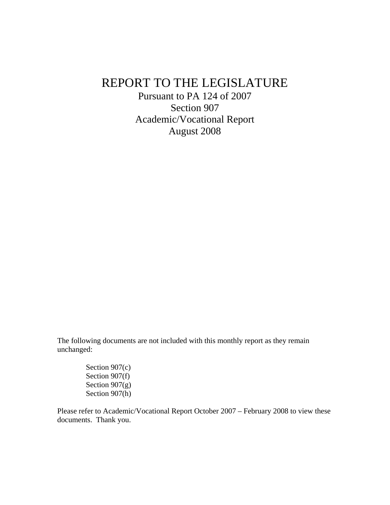# REPORT TO THE LEGISLATURE

Pursuant to PA 124 of 2007 Section 907 Academic/Vocational Report August 2008

The following documents are not included with this monthly report as they remain unchanged:

> Section 907(c) Section 907(f) Section 907(g) Section 907(h)

Please refer to Academic/Vocational Report October 2007 – February 2008 to view these documents. Thank you.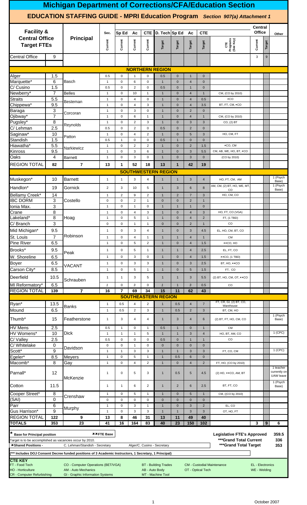|                                                                                                                                                                                                                                                                                              |                                                                                                                                          |                                                                                                                                         |                              |                             |                                |                                |                                                  |                              |                                  |                                | <b>Michigan Department of Corrections/CFA/Education Section</b>                       |                                         |        |                                        |  |
|----------------------------------------------------------------------------------------------------------------------------------------------------------------------------------------------------------------------------------------------------------------------------------------------|------------------------------------------------------------------------------------------------------------------------------------------|-----------------------------------------------------------------------------------------------------------------------------------------|------------------------------|-----------------------------|--------------------------------|--------------------------------|--------------------------------------------------|------------------------------|----------------------------------|--------------------------------|---------------------------------------------------------------------------------------|-----------------------------------------|--------|----------------------------------------|--|
|                                                                                                                                                                                                                                                                                              |                                                                                                                                          |                                                                                                                                         |                              |                             |                                |                                |                                                  |                              |                                  |                                | <b>EDUCATION STAFFING GUIDE - MPRI Education Program</b> Section 907(a) Attachment 1  |                                         |        |                                        |  |
| <b>Facility &amp;</b>                                                                                                                                                                                                                                                                        |                                                                                                                                          |                                                                                                                                         | Sec.                         | Sp Ed                       | Ac                             | <b>CTE</b>                     | D. Tech Sp Ed                                    |                              | Ac                               | <b>CTE</b>                     |                                                                                       | Central<br>Office                       |        | Other                                  |  |
| <b>Central Office</b><br><b>Target FTEs</b>                                                                                                                                                                                                                                                  |                                                                                                                                          | <b>Principal</b>                                                                                                                        | Current                      | Current                     | Current                        | Current                        | Target                                           | Target                       | Target                           | Target                         | CTE<br>Programs<br>(See Key)                                                          | Current                                 | Target |                                        |  |
| Central Office                                                                                                                                                                                                                                                                               | 9                                                                                                                                        |                                                                                                                                         |                              |                             |                                |                                |                                                  |                              |                                  |                                |                                                                                       | 3                                       | 9      |                                        |  |
|                                                                                                                                                                                                                                                                                              |                                                                                                                                          |                                                                                                                                         |                              |                             |                                |                                | <b>NORTHERN REGION</b>                           |                              |                                  |                                |                                                                                       |                                         |        |                                        |  |
| Alger                                                                                                                                                                                                                                                                                        | 1.5                                                                                                                                      |                                                                                                                                         | 0.5                          | $\mathbf 0$                 | -1                             | $\mathbf 0$                    | 0.5                                              | $\mathbf 0$                  | $\overline{1}$                   | $\mathbf{0}$                   |                                                                                       |                                         |        |                                        |  |
| Marquette*<br>C/ Cusino                                                                                                                                                                                                                                                                      | 6<br>1.5                                                                                                                                 | Basch                                                                                                                                   | $\mathbf{1}$<br>0.5          | $\mathbf 0$<br>$\mathbf 0$  | 6<br>$\overline{2}$            | $\mathbf 0$<br>$\mathbf 0$     | $\mathbf{1}$<br>0.5                              | $\mathbf{0}$<br>$\mathbf 0$  | $\overline{4}$<br>$\overline{1}$ | $\mathbf 0$<br>$\pmb{0}$       |                                                                                       |                                         |        |                                        |  |
| Newberry*                                                                                                                                                                                                                                                                                    | 7                                                                                                                                        | <b>Belles</b>                                                                                                                           | $\mathbf{1}$                 | $\mathbf 0$                 | 10                             | $\mathbf{1}$                   | $\mathbf{1}$                                     | $\mathbf{0}$                 | $\overline{4}$                   | $\mathbf{1}$                   | CM, (CO by 2010)                                                                      |                                         |        |                                        |  |
| Straits                                                                                                                                                                                                                                                                                      | 5.5                                                                                                                                      | Besteman                                                                                                                                | $\mathbf{1}$                 | $\mathbf 0$                 | 4                              | $\pmb{0}$                      | $\mathbf{1}$                                     | $\mathbf{0}$                 | $\overline{4}$                   | 0.5                            | $\times CO$                                                                           |                                         |        |                                        |  |
| Chippewa*<br>Baraga                                                                                                                                                                                                                                                                          | 9.5<br>3                                                                                                                                 |                                                                                                                                         | $\mathbf{1}$                 | $\mathbf 0$                 | $\overline{4}$<br>$\mathbf{3}$ | 3                              | $\mathbf{1}$<br>$\mathbf{1}$                     | $\mathbf 0$                  | $\overline{4}$<br>$\overline{2}$ | 3.5                            | BT, FT, CM, *CO                                                                       |                                         |        |                                        |  |
| Ojibway*                                                                                                                                                                                                                                                                                     | $\overline{7}$                                                                                                                           | Corcoran                                                                                                                                | $\mathbf{1}$<br>$\mathbf{1}$ | $\pmb{0}$<br>$\pmb{0}$      | 6                              | $\pmb{0}$<br>$\mathbf{1}$      | $\mathbf{1}$                                     | $\mathbf{0}$<br>$\mathbf{0}$ | $\overline{4}$                   | $\mathbf 0$<br>$\mathbf{1}$    | CM, (CO by 2010)                                                                      |                                         |        |                                        |  |
| Pugsley*                                                                                                                                                                                                                                                                                     | 8                                                                                                                                        | Reynolds                                                                                                                                | $\mathbf{1}$                 | $\mathbf 0$                 | $\overline{2}$                 | 3                              | $\mathbf{1}$                                     | $\mathbf 0$                  | 3                                | 3                              | CO, (2) BT                                                                            |                                         |        |                                        |  |
| $\overline{C}$ / Lehman                                                                                                                                                                                                                                                                      | 2.5                                                                                                                                      |                                                                                                                                         | 0.5                          | $\pmb{0}$                   | 2                              | $\pmb{0}$                      | 0.5                                              | $\mathbf 0$                  | $\overline{2}$                   | $\mathbf 0$                    |                                                                                       |                                         |        |                                        |  |
| Saginaw*<br>Standish                                                                                                                                                                                                                                                                         | 10<br>1.5                                                                                                                                | Patton                                                                                                                                  | $\mathbf{1}$<br>0.5          | $\mathbf 0$<br>$\mathbf{1}$ | $\overline{4}$<br>$\mathbf 0$  | $\overline{2}$<br>$\mathbf 0$  | $\mathbf{1}$<br>0.5                              | $\mathbf 0$<br>$\mathbf{1}$  | 5<br>$\mathbf 0$                 | 3<br>$\pmb{0}$                 | HO, CM, FT                                                                            |                                         |        |                                        |  |
| Hiawatha*                                                                                                                                                                                                                                                                                    | 5.5                                                                                                                                      | Narkiewicz                                                                                                                              | $\mathbf{1}$                 | $\mathbf 0$                 | 2                              | $\overline{2}$                 | $\mathbf{1}$                                     | $\mathbf{0}$                 | $\overline{2}$                   | 1.5                            | ×CO, CM                                                                               |                                         |        |                                        |  |
| Kinross                                                                                                                                                                                                                                                                                      | 9.5                                                                                                                                      |                                                                                                                                         | $\mathbf{1}$                 | $\mathbf 0$                 | 3                              | 6                              | $\mathbf{1}$                                     | $\mathbf 0$                  | $\mathbf{3}$                     | 5.5                            | CM, AB, WE, HO, BT, *CO                                                               |                                         |        |                                        |  |
| Oaks                                                                                                                                                                                                                                                                                         | 4                                                                                                                                        | Barnett                                                                                                                                 | $\mathbf{1}$                 | $\mathbf 0$                 | 3                              | $\pmb{0}$                      | $\mathbf{1}$                                     | $\mathbf 0$                  | $\mathbf{3}$                     | $\mathbf 0$                    | (CO by 2010)                                                                          |                                         |        |                                        |  |
| <b>REGION TOTAL</b><br>$\overline{7}$<br>82<br>13<br>1<br>52<br>18<br>13<br>42<br>19<br>$\mathbf{1}$<br><b>SOUTHWESTERN REGION</b><br>Muskegon*<br>10<br><b>Barnett</b><br>3<br>HO, FT, CM, AM<br>$\mathbf{1}$<br>$\mathbf{1}$<br>4<br>$\mathbf{1}$<br>$\overline{1}$<br>3<br>$\overline{4}$ |                                                                                                                                          |                                                                                                                                         |                              |                             |                                |                                |                                                  |                              |                                  |                                |                                                                                       |                                         |        |                                        |  |
| AM, CM, (2) BT, HO, WE, MT,<br>$\overline{2}$<br>$\ensuremath{\mathsf{3}}$<br>5<br>6<br>$\boldsymbol{8}$<br>10<br>$\mathbf{1}$<br>$\mathbf{3}$                                                                                                                                               |                                                                                                                                          |                                                                                                                                         |                              |                             |                                |                                |                                                  |                              |                                  |                                |                                                                                       |                                         |        |                                        |  |
| 19<br>Gornick<br>CO                                                                                                                                                                                                                                                                          |                                                                                                                                          |                                                                                                                                         |                              |                             |                                |                                |                                                  |                              |                                  |                                |                                                                                       |                                         |        |                                        |  |
| Handlon*                                                                                                                                                                                                                                                                                     | Bellamy Creek*<br>14<br>$\overline{2}$<br>9<br>2<br>$\mathbf{1}$<br>$\overline{2}$<br>$\overline{7}$<br>3<br>HO, CM, CO<br>$\mathbf{1}$  |                                                                                                                                         |                              |                             |                                |                                |                                                  |                              |                                  |                                |                                                                                       |                                         |        |                                        |  |
|                                                                                                                                                                                                                                                                                              | <b>IBC DORM</b><br>3<br>Costello<br>$\mathsf 0$<br>$\mathsf 0$<br>2<br>$\mathbf{0}$<br>$\mathbf{0}$<br>2<br>$\mathbf{1}$<br>$\mathbf{1}$ |                                                                                                                                         |                              |                             |                                |                                |                                                  |                              |                                  |                                |                                                                                       |                                         |        |                                        |  |
| Ionia Max.                                                                                                                                                                                                                                                                                   | 3                                                                                                                                        |                                                                                                                                         | $\mathbf{1}$                 | $\mathbf 0$                 | $\overline{1}$                 | $\mathbf 0$                    | $\mathbf{1}$                                     | $\mathbf{1}$                 | $\overline{1}$                   | $\mathbf 0$                    |                                                                                       |                                         |        |                                        |  |
| Crane                                                                                                                                                                                                                                                                                        | 8                                                                                                                                        |                                                                                                                                         | $\mathbf{1}$                 | $\mathbf 0$                 | $\overline{4}$                 | 3                              | $\mathbf{1}$                                     | $\mathbf 0$                  | $\overline{4}$                   | $\sqrt{3}$                     | HO, FT, CO (VGA)                                                                      |                                         |        |                                        |  |
| Lakeland*                                                                                                                                                                                                                                                                                    | 8                                                                                                                                        | Hoag                                                                                                                                    | $\mathbf{1}$                 | $\pmb{0}$                   | 5                              | $\mathbf{1}$                   | $\mathbf{1}$                                     | $\mathbf 0$                  | $\overline{4}$                   | $\sqrt{2}$                     | FT, (1 TBD)                                                                           |                                         |        |                                        |  |
| C/ Branch<br>Mid Michigan*                                                                                                                                                                                                                                                                   | 3<br>9.5                                                                                                                                 |                                                                                                                                         | $\mathbf 0$<br>$\mathbf{1}$  | $\mathbf 0$<br>$\pmb{0}$    | $\mathbf{1}$<br>3              | $\mathbf{1}$<br>4              | $\mathbf{0}$<br>$\mathbf{1}$                     | $\mathbf{0}$<br>$\mathbf{0}$ | $\overline{2}$<br>$\mathbf{3}$   | $\mathbf{1}$<br>4.5            | CO<br>EL, HO, CM, BT, CO                                                              |                                         |        |                                        |  |
| St. Louis                                                                                                                                                                                                                                                                                    | 7                                                                                                                                        | Robinson                                                                                                                                | $\mathbf{1}$                 | $\mathbf 0$                 | 4                              | $\mathbf{1}$                   | $\mathbf{1}$                                     | $\mathbf{1}$                 | $\overline{4}$                   | $\mathbf{1}$                   | <b>CM</b>                                                                             |                                         |        |                                        |  |
| <b>Pine River</b>                                                                                                                                                                                                                                                                            | 6.5                                                                                                                                      |                                                                                                                                         | $\mathbf{1}$                 | $\pmb{0}$                   | $\sqrt{5}$                     | $\overline{2}$                 | $\mathbf{1}$                                     | $\mathbf 0$                  | $\overline{4}$                   | 1.5                            | ××CO, HO                                                                              |                                         |        |                                        |  |
| Brooks*                                                                                                                                                                                                                                                                                      | 9.5                                                                                                                                      | Peak                                                                                                                                    | $\mathbf{1}$                 | $\pmb{0}$                   | 5                              | $\mathbf{1}$                   | $\mathbf{1}$                                     | $\mathbf{1}$                 | $\overline{4}$                   | 2.5                            | EL, FT, CO                                                                            |                                         |        |                                        |  |
| W. Shoreline                                                                                                                                                                                                                                                                                 | 6.5                                                                                                                                      |                                                                                                                                         | $\mathbf{1}$                 | $\pmb{0}$                   | 3                              | $\mathbf 0$                    | $\mathbf{1}$                                     | $\mathbf 0$                  | $\overline{4}$                   | 1.5                            | $\texttt{*}$ CO, (1 TBD)                                                              |                                         |        |                                        |  |
| <b>Boyer</b>                                                                                                                                                                                                                                                                                 | 6.5                                                                                                                                      | VACANT                                                                                                                                  | $\mathbf{1}$                 | $\pmb{0}$                   | 3                              | 3                              | $\mathbf{1}$                                     | $\mathbf 0$                  | $\mathbf{3}$                     | 2.5                            | BT, HO, $×CO$                                                                         |                                         |        |                                        |  |
| Carson City*                                                                                                                                                                                                                                                                                 | 8.5                                                                                                                                      |                                                                                                                                         | $\mathbf{1}$                 | $\pmb{0}$                   | 5                              | $\mathbf{1}$                   | $\mathbf{1}$                                     | $\mathbf{0}$                 | 5                                | 1.5                            | FT, CO                                                                                |                                         |        |                                        |  |
| <b>Deerfield</b>                                                                                                                                                                                                                                                                             | 10.5                                                                                                                                     | Schrauben                                                                                                                               | $\mathbf{1}$                 | $\mathbf{1}$                | 3                              | 5                              | $\mathbf{1}$                                     | $\mathbf{1}$                 | 3                                | 5.5                            | (2) BT, HO, CM, OT, $*$ CO                                                            |                                         |        |                                        |  |
| MI Reformatory*<br><b>REGION TOTAL</b>                                                                                                                                                                                                                                                       | 6.5                                                                                                                                      |                                                                                                                                         | $\pmb{\mathcal{1}}$          | $\pmb{0}$<br>$\overline{7}$ | 3<br>69                        | $\mathsf 0$<br>34              | $\mathbf{1}$<br>15                               | $\mathbf{1}$                 | $\mathfrak{3}$                   | 0.5                            | CO                                                                                    |                                         |        |                                        |  |
|                                                                                                                                                                                                                                                                                              | 139                                                                                                                                      | $\overline{\mathbf{r}}$                                                                                                                 | 16                           |                             |                                |                                | <b>SOUTHEASTERN REGION</b>                       | 11                           | 62                               | 43                             |                                                                                       |                                         |        |                                        |  |
| Ryan*                                                                                                                                                                                                                                                                                        | 13.5                                                                                                                                     |                                                                                                                                         | $\mathbf{1}$                 | 0.5                         | $\overline{4}$                 | $\overline{c}$                 | $\mathbf{1}$                                     | 0.5                          | $\overline{4}$                   | $\overline{7}$                 | FT, CR, GI, (2) BT, CO,                                                               |                                         |        |                                        |  |
| Mound                                                                                                                                                                                                                                                                                        | 6.5                                                                                                                                      | <b>Banks</b>                                                                                                                            | $\mathbf{1}$                 | 0.5                         | $\overline{2}$                 | 3                              | $\mathbf{1}$                                     | 0.5                          | $\overline{2}$                   | $\mathbf{3}$                   | Warehouse<br>BT, CM, HO                                                               |                                         |        |                                        |  |
| Thumb <sup>*</sup>                                                                                                                                                                                                                                                                           | 15                                                                                                                                       | Featherstone                                                                                                                            | $\mathbf{1}$                 | 3                           | $\overline{4}$                 | 4                              | $\mathbf{1}$                                     | 3                            | $\overline{4}$                   | 6                              | (2) BT, FT, HO, CM, CO                                                                |                                         |        | $1$ (Psych<br>Base)                    |  |
| <b>HV</b> Mens                                                                                                                                                                                                                                                                               | 2.5                                                                                                                                      |                                                                                                                                         | 0.5                          | $\mathbf{1}$                | $\mathbf 0$                    | $\mathbf{1}$                   | 0.5                                              | $\mathbf{1}$                 | $\mathbf 0$                      | $\mathbf{1}$                   | <b>CM</b>                                                                             |                                         |        | $1$ (CPC)                              |  |
| HV Womens*<br>C/Valley                                                                                                                                                                                                                                                                       | 10<br>2.5                                                                                                                                | <b>Dick</b>                                                                                                                             | $\mathbf{1}$<br>0.5          | $\mathbf{1}$<br>$\mathbf 0$ | $\overline{1}$<br>$\mathbf 0$  | 5<br>$\mathbf 0$               | $\mathbf{1}$<br>0.5                              | $\mathbf{1}$<br>$\mathbf{0}$ | $\mathbf{3}$<br>$\mathbf{1}$     | $\overline{4}$<br>$\mathbf{1}$ | HO, BT, AM, CO<br>CO                                                                  |                                         |        |                                        |  |
| C/ Whitelake                                                                                                                                                                                                                                                                                 | 0                                                                                                                                        | Davidson                                                                                                                                | $\mathbf 0$                  | $\pmb{0}$                   | $\overline{1}$                 | $\mathbf 0$                    | $\mathbf 0$                                      | $\mathbf 0$                  | $\mathbf 0$                      | $\mathbf 0$                    |                                                                                       |                                         |        |                                        |  |
| Scott*                                                                                                                                                                                                                                                                                       | 9                                                                                                                                        |                                                                                                                                         | $\mathbf{1}$                 | $\mathbf{1}$                | 3                              | 3                              | $\mathbf{1}$                                     | $\mathbf{1}$                 | $\mathbf{3}$                     | 3                              | FT, CO, CM                                                                            |                                         |        | $1$ (CPC)                              |  |
| Egeler*<br>Macomb <sup>*</sup>                                                                                                                                                                                                                                                               | 8.5<br>8                                                                                                                                 | <b>Meyers</b><br>Gay                                                                                                                    | $\mathbf{1}$<br>$\mathbf{1}$ | $\mathsf 0$<br>$\mathbf 0$  | 5<br>$\overline{4}$            | $\mathbf{1}$<br>$\overline{2}$ | $\mathbf{1}$<br>$\mathbf{1}$                     | 0.5<br>$\mathbf{0}$          | 6<br>$\overline{4}$              | $\pmb{0}$<br>$\overline{2}$    | FT, HO, (CO by 2010)                                                                  |                                         |        |                                        |  |
| Parnall*                                                                                                                                                                                                                                                                                     | 12                                                                                                                                       |                                                                                                                                         | $\mathbf{1}$                 | $\pmb{0}$                   | 5                              | 3                              | $\mathbf{1}$                                     | 0.5                          | $5\phantom{1}$                   | 4.5                            | (2) HO, $\star$ × CO, AM, BT                                                          |                                         |        | 1 teacher<br>currently on<br>UAW leave |  |
| Cotton                                                                                                                                                                                                                                                                                       | 11.5                                                                                                                                     | <b>McKenzie</b>                                                                                                                         | $\mathbf{1}$                 | $\mathbf{1}$                | 6                              | 2                              | $\mathbf{1}$                                     | $\overline{2}$               | 6                                | 2.5                            | BT, FT, CO                                                                            |                                         |        | 1 (Psych<br>Base)                      |  |
| Cooper Street*                                                                                                                                                                                                                                                                               | 8                                                                                                                                        | Crenshaw                                                                                                                                | $\mathbf{1}$                 | $\mathbf 0$                 | 5                              | $\mathbf{1}$                   | $\mathbf{1}$                                     | $\mathbf{0}$                 | $5\phantom{1}$                   | $\mathbf{1}$                   | CM, ((CO by 2010)                                                                     |                                         |        |                                        |  |
| (SAI)                                                                                                                                                                                                                                                                                        | 0                                                                                                                                        |                                                                                                                                         | $\mathsf 0$                  | $\mathbf 0$                 | $\mathbf 0$                    | $\mathbf 0$                    | $\mathbf{0}$                                     | $\mathbf{0}$                 | $\mathbf{0}$                     | $\mathbf 0$                    |                                                                                       |                                         |        |                                        |  |
| Parr<br>Gus Harrison*                                                                                                                                                                                                                                                                        | 6<br>$\overline{9}$                                                                                                                      | Murphy                                                                                                                                  | $\mathbf{1}$<br>$\mathbf{1}$ | $\mathbf 0$<br>$\pmb{0}$    | 3<br>$\mathbf{3}$              | $\mathbf{1}$<br>3              | $\mathbf{1}$<br>$\mathbf{1}$                     | $\mathbf 0$<br>$\mathbf{1}$  | $\mathbf{3}$<br>$\mathbf{3}$     | $\overline{2}$<br>$\mathbf{3}$ | EL, CO<br>OT, HO, FT                                                                  |                                         |        |                                        |  |
| <b>REGION TOTAL</b>                                                                                                                                                                                                                                                                          | 122                                                                                                                                      | 9                                                                                                                                       | 13                           | 8                           | 46                             | 31                             | 13                                               | 11                           | 49                               | 40                             |                                                                                       |                                         |        |                                        |  |
| <b>TOTALS</b>                                                                                                                                                                                                                                                                                | 353                                                                                                                                      | 23                                                                                                                                      | 41                           | 16                          | 164                            | 83                             | 40                                               | 23                           | 150                              | 102                            |                                                                                       | 3                                       | 9      | 6                                      |  |
| <b>Base for Principal position</b><br>Target is to be accomplished as vacancies occur by 2010.<br>*Shared Positions -                                                                                                                                                                        |                                                                                                                                          | C. Lehman/Standish - Secretary<br>*** Includes DOJ Consent Decree funded positions of 3 Academic Instructors, 1 Secretary, 1 Principal) | <b>**FTE Base</b>            |                             |                                |                                | Alger/C. Cusino - Secretary                      |                              |                                  |                                | <b>Legislative FTE's Approved</b><br>***Grand Total Current<br>*** Grand Total Target |                                         |        | 359.5<br>336<br>353                    |  |
| <b>CTE KEY</b><br>FT - Food Tech<br><b>HO - Horticulture</b><br><b>CR</b> - Computer Refurbishing                                                                                                                                                                                            |                                                                                                                                          | CO - Computer Operations (BET/VGA)<br><b>AM - Auto Mechanics</b><br>GI - Graphic Information Systems                                    |                              |                             |                                | AB - Auto Body                 | <b>BT</b> - Building Trades<br>MT - Machine Tool |                              |                                  | OT - Optical Tech              | <b>CM - Custodial Maintenance</b>                                                     | <b>EL</b> - Electronics<br>WE - Welding |        |                                        |  |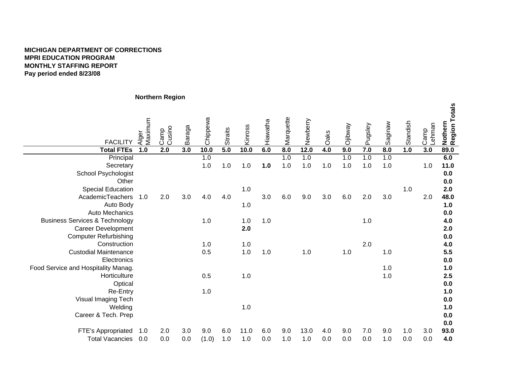# **MICHIGAN DEPARTMENT OF CORRECTIONSMPRI EDUCATION PROGRAM MONTHLY STAFFING REPORT Pay period ended 8/23/08**

# **Northern Region**

| <b>FACILITY</b>                           | Alger<br>Maximum | Cusino<br>Camp | Baraga | Chippewa | <b>Straits</b> | Kinross | Hiawatha | Marquette | Newberry | Oaks  | <b>Ojibway</b> | Pugsley | Saginaw | Standish | -ehman<br>Camp | Nothern<br>Region Totals |
|-------------------------------------------|------------------|----------------|--------|----------|----------------|---------|----------|-----------|----------|-------|----------------|---------|---------|----------|----------------|--------------------------|
| <b>Total FTEs</b>                         | 1.0              | 2.0            | 3.0    | 10.0     | 5.0            | 10.0    | 6.0      | 8.0       | 12.0     | 4.0   | 9.0            | 7.0     | 8.0     | 1.0      | 3.0            | 89.0                     |
| Principal                                 |                  |                |        | 1.0      |                |         |          | 1.0       | 1.0      |       | 1.0            | 1.0     | 1.0     |          |                | 6.0                      |
| Secretary                                 |                  |                |        | 1.0      | $1.0$          | 1.0     | 1.0      | 1.0       | $1.0$    | $1.0$ | 1.0            | 1.0     | 1.0     |          | 1.0            | 11.0                     |
| School Psychologist                       |                  |                |        |          |                |         |          |           |          |       |                |         |         |          |                | 0.0                      |
| Other                                     |                  |                |        |          |                |         |          |           |          |       |                |         |         |          |                | 0.0                      |
| <b>Special Education</b>                  |                  |                |        |          |                | 1.0     |          |           |          |       |                |         |         | 1.0      |                | 2.0                      |
| AcademicTeachers                          | 1.0              | 2.0            | 3.0    | 4.0      | 4.0            |         | 3.0      | 6.0       | 9.0      | 3.0   | 6.0            | 2.0     | 3.0     |          | 2.0            | 48.0                     |
| Auto Body                                 |                  |                |        |          |                | 1.0     |          |           |          |       |                |         |         |          |                | 1.0                      |
| <b>Auto Mechanics</b>                     |                  |                |        |          |                |         |          |           |          |       |                |         |         |          |                | 0.0                      |
| <b>Business Services &amp; Technology</b> |                  |                |        | 1.0      |                | 1.0     | 1.0      |           |          |       |                | 1.0     |         |          |                | 4.0                      |
| <b>Career Development</b>                 |                  |                |        |          |                | 2.0     |          |           |          |       |                |         |         |          |                | 2.0                      |
| <b>Computer Refurbishing</b>              |                  |                |        |          |                |         |          |           |          |       |                |         |         |          |                | 0.0                      |
| Construction                              |                  |                |        | 1.0      |                | 1.0     |          |           |          |       |                | 2.0     |         |          |                | 4.0                      |
| <b>Custodial Maintenance</b>              |                  |                |        | 0.5      |                | 1.0     | 1.0      |           | 1.0      |       | 1.0            |         | 1.0     |          |                | 5.5                      |
| Electronics                               |                  |                |        |          |                |         |          |           |          |       |                |         |         |          |                | 0.0                      |
| Food Service and Hospitality Manag.       |                  |                |        |          |                |         |          |           |          |       |                |         | 1.0     |          |                | 1.0                      |
| Horticulture                              |                  |                |        | 0.5      |                | 1.0     |          |           |          |       |                |         | 1.0     |          |                | 2.5                      |
| Optical                                   |                  |                |        |          |                |         |          |           |          |       |                |         |         |          |                | 0.0                      |
| Re-Entry                                  |                  |                |        | 1.0      |                |         |          |           |          |       |                |         |         |          |                | 1.0                      |
| Visual Imaging Tech                       |                  |                |        |          |                |         |          |           |          |       |                |         |         |          |                | 0.0                      |
| Welding                                   |                  |                |        |          |                | 1.0     |          |           |          |       |                |         |         |          |                | 1.0                      |
| Career & Tech. Prep                       |                  |                |        |          |                |         |          |           |          |       |                |         |         |          |                | 0.0                      |
|                                           |                  |                |        |          |                |         |          |           |          |       |                |         |         |          |                | 0.0                      |
| FTE's Appropriated                        | 1.0              | 2.0            | 3.0    | 9.0      | 6.0            | 11.0    | 6.0      | 9.0       | 13.0     | 4.0   | 9.0            | 7.0     | 9.0     | 1.0      | 3.0            | 93.0                     |
| <b>Total Vacancies</b>                    | 0.0              | 0.0            | 0.0    | (1.0)    | 1.0            | 1.0     | 0.0      | 1.0       | 1.0      | 0.0   | 0.0            | 0.0     | 1.0     | 0.0      | 0.0            | 4.0                      |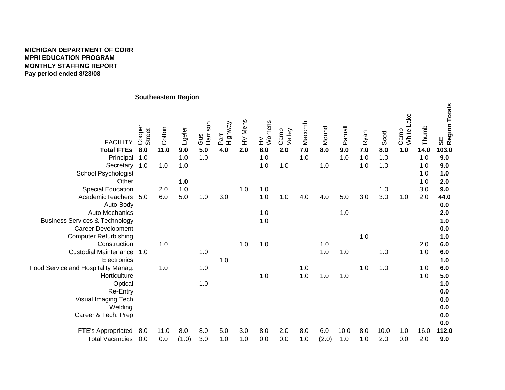### **MICHIGAN DEPARTMENT OF CORREMPRI EDUCATION PROGRAM MONTHLY STAFFING REPORTPay period ended 8/23/08**

# **Southeastern Region**

| <b>FACILITY</b>                           | Cooper<br>Street | Cotton | Egeler | Gus<br>Harrison | Highway<br>Parr | HV Mens | Womens<br>$\geq$ | Camp<br>Valley | Macomb | Mound | Parnall | Ryan | Scott | Camp<br>White Lake | Thumb | SE<br>Region Totals |
|-------------------------------------------|------------------|--------|--------|-----------------|-----------------|---------|------------------|----------------|--------|-------|---------|------|-------|--------------------|-------|---------------------|
| <b>Total FTEs</b>                         | 8.0              | 11.0   | 9.0    | 5.0             | 4.0             | 2.0     | 8.0              | 2.0            | 7.0    | 8.0   | 9.0     | 7.0  | 8.0   | 1.0                | 14.0  | 103.0               |
| Principal                                 | 1.0              |        | 1.0    | 1.0             |                 |         | 1.0              |                | 1.0    |       | 1.0     | 1.0  | 1.0   |                    | 1.0   | 9.0                 |
| Secretary 1.0                             |                  | 1.0    | 1.0    |                 |                 |         | 1.0              | 1.0            |        | 1.0   |         | 1.0  | 1.0   |                    | 1.0   | 9.0                 |
| <b>School Psychologist</b>                |                  |        |        |                 |                 |         |                  |                |        |       |         |      |       |                    | 1.0   | 1.0                 |
| Other                                     |                  |        | 1.0    |                 |                 |         |                  |                |        |       |         |      |       |                    | 1.0   | 2.0                 |
| <b>Special Education</b>                  |                  | 2.0    | 1.0    |                 |                 | 1.0     | 1.0              |                |        |       |         |      | 1.0   |                    | 3.0   | 9.0                 |
| AcademicTeachers 5.0                      |                  | 6.0    | 5.0    | 1.0             | 3.0             |         | 1.0              | 1.0            | 4.0    | 4.0   | 5.0     | 3.0  | 3.0   | 1.0                | 2.0   | 44.0                |
| Auto Body                                 |                  |        |        |                 |                 |         |                  |                |        |       |         |      |       |                    |       | 0.0                 |
| <b>Auto Mechanics</b>                     |                  |        |        |                 |                 |         | 1.0              |                |        |       | 1.0     |      |       |                    |       | 2.0                 |
| <b>Business Services &amp; Technology</b> |                  |        |        |                 |                 |         | 1.0              |                |        |       |         |      |       |                    |       | 1.0                 |
| <b>Career Development</b>                 |                  |        |        |                 |                 |         |                  |                |        |       |         |      |       |                    |       | 0.0                 |
| <b>Computer Refurbishing</b>              |                  |        |        |                 |                 |         |                  |                |        |       |         | 1.0  |       |                    |       | 1.0                 |
| Construction                              |                  | 1.0    |        |                 |                 | 1.0     | 1.0              |                |        | 1.0   |         |      |       |                    | 2.0   | 6.0                 |
| <b>Custodial Maintenance</b>              | 1.0              |        |        | 1.0             |                 |         |                  |                |        | 1.0   | 1.0     |      | 1.0   |                    | 1.0   | 6.0                 |
| Electronics                               |                  |        |        |                 | 1.0             |         |                  |                |        |       |         |      |       |                    |       | 1.0                 |
| Food Service and Hospitality Manag.       |                  | 1.0    |        | 1.0             |                 |         |                  |                | 1.0    |       |         | 1.0  | 1.0   |                    | 1.0   | 6.0                 |
| Horticulture                              |                  |        |        |                 |                 |         | 1.0              |                | 1.0    | 1.0   | 1.0     |      |       |                    | 1.0   | 5.0                 |
| Optical                                   |                  |        |        | 1.0             |                 |         |                  |                |        |       |         |      |       |                    |       | 1.0                 |
| Re-Entry                                  |                  |        |        |                 |                 |         |                  |                |        |       |         |      |       |                    |       | 0.0                 |
| Visual Imaging Tech                       |                  |        |        |                 |                 |         |                  |                |        |       |         |      |       |                    |       | 0.0                 |
| Welding                                   |                  |        |        |                 |                 |         |                  |                |        |       |         |      |       |                    |       | 0.0                 |
| Career & Tech. Prep                       |                  |        |        |                 |                 |         |                  |                |        |       |         |      |       |                    |       | 0.0                 |
|                                           |                  |        |        |                 |                 |         |                  |                |        |       |         |      |       |                    |       | 0.0                 |
| FTE's Appropriated                        | 8.0              | 11.0   | 8.0    | 8.0             | 5.0             | 3.0     | 8.0              | 2.0            | 8.0    | 6.0   | 10.0    | 8.0  | 10.0  | 1.0                | 16.0  | 112.0               |
| <b>Total Vacancies</b>                    | 0.0              | 0.0    | (1.0)  | 3.0             | 1.0             | 1.0     | 0.0              | 0.0            | 1.0    | (2.0) | 1.0     | 1.0  | 2.0   | 0.0                | 2.0   | 9.0                 |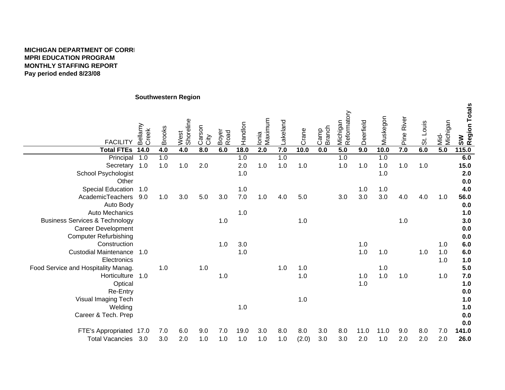# **MICHIGAN DEPARTMENT OF CORREMPRI EDUCATION PROGRAM MONTHLY STAFFING REPORT Pay period ended 8/23/08**

# **Southwestern Region**

| <b>FACILITY</b>                           | Bellamy<br>Creek | <b>Brooks</b> | West<br>Shoreline | Carson<br>City | Boyer<br>Road | Handlon | Ionia<br>Maximum | Lakeland | Crane | Branch<br>Camp | Michigan<br>Reformatory | Deerfield | Muskegon | Pine River | St. Louis | Mid-<br>Michigan | SW<br>Region Totals |
|-------------------------------------------|------------------|---------------|-------------------|----------------|---------------|---------|------------------|----------|-------|----------------|-------------------------|-----------|----------|------------|-----------|------------------|---------------------|
| <b>Total FTEs</b>                         | 14.0             | 4.0           | 4.0               | 8.0            | 6.0           | 18.0    | 2.0              | 7.0      | 10.0  | 0.0            | 5.0                     | 9.0       | 10.0     | 7.0        | 6.0       | 5.0              | 115.0               |
| Principal                                 | 1.0              | 1.0           |                   |                |               | 1.0     |                  | 1.0      |       |                | 1.0                     |           | 1.0      |            |           |                  | 6.0                 |
| Secretary 1.0                             |                  | 1.0           | 1.0               | 2.0            |               | 2.0     | $1.0\,$          | 1.0      | 1.0   |                | 1.0                     | 1.0       | $1.0$    | 1.0        | 1.0       |                  | 15.0                |
| School Psychologist                       |                  |               |                   |                |               | 1.0     |                  |          |       |                |                         |           | 1.0      |            |           |                  | 2.0                 |
| Other                                     |                  |               |                   |                |               |         |                  |          |       |                |                         |           |          |            |           |                  | 0.0                 |
| Special Education 1.0                     |                  |               |                   |                |               | 1.0     |                  |          |       |                |                         | 1.0       | 1.0      |            |           |                  | 4.0                 |
| AcademicTeachers                          | 9.0              | 1.0           | 3.0               | 5.0            | 3.0           | $7.0\,$ | 1.0              | 4.0      | 5.0   |                | 3.0                     | 3.0       | $3.0\,$  | 4.0        | 4.0       | 1.0              | 56.0                |
| Auto Body                                 |                  |               |                   |                |               |         |                  |          |       |                |                         |           |          |            |           |                  | $0.0\,$             |
| <b>Auto Mechanics</b>                     |                  |               |                   |                |               | 1.0     |                  |          |       |                |                         |           |          |            |           |                  | 1.0                 |
| <b>Business Services &amp; Technology</b> |                  |               |                   |                | 1.0           |         |                  |          | 1.0   |                |                         |           |          | 1.0        |           |                  | 3.0                 |
| <b>Career Development</b>                 |                  |               |                   |                |               |         |                  |          |       |                |                         |           |          |            |           |                  | $0.0\,$             |
| <b>Computer Refurbishing</b>              |                  |               |                   |                |               |         |                  |          |       |                |                         |           |          |            |           |                  | $0.0\,$             |
| Construction                              |                  |               |                   |                | 1.0           | 3.0     |                  |          |       |                |                         | 1.0       |          |            |           | 1.0              | $6.0\,$             |
| <b>Custodial Maintenance</b>              | 1.0              |               |                   |                |               | 1.0     |                  |          |       |                |                         | 1.0       | 1.0      |            | 1.0       | 1.0              | $6.0\,$             |
| Electronics                               |                  |               |                   |                |               |         |                  |          |       |                |                         |           |          |            |           | 1.0              | 1.0                 |
| Food Service and Hospitality Manag.       |                  | 1.0           |                   | $1.0$          |               |         |                  | 1.0      | 1.0   |                |                         |           | 1.0      |            |           |                  | 5.0                 |
| Horticulture 1.0                          |                  |               |                   |                | 1.0           |         |                  |          | 1.0   |                |                         | 1.0       | 1.0      | 1.0        |           | 1.0              | $7.0$               |
| Optical                                   |                  |               |                   |                |               |         |                  |          |       |                |                         | 1.0       |          |            |           |                  | 1.0                 |
| Re-Entry                                  |                  |               |                   |                |               |         |                  |          |       |                |                         |           |          |            |           |                  | 0.0                 |
| Visual Imaging Tech                       |                  |               |                   |                |               |         |                  |          | $1.0$ |                |                         |           |          |            |           |                  | 1.0                 |
| Welding                                   |                  |               |                   |                |               | 1.0     |                  |          |       |                |                         |           |          |            |           |                  | 1.0                 |
| Career & Tech. Prep                       |                  |               |                   |                |               |         |                  |          |       |                |                         |           |          |            |           |                  | $0.0\,$             |
|                                           |                  |               |                   |                |               |         |                  |          |       |                |                         |           |          |            |           |                  | 0.0                 |
| FTE's Appropriated                        | 17.0             | 7.0           | 6.0               | 9.0            | 7.0           | 19.0    | 3.0              | 8.0      | 8.0   | 3.0            | 8.0                     | 11.0      | 11.0     | 9.0        | 8.0       | 7.0              | 141.0               |
| <b>Total Vacancies</b>                    | 3.0              | 3.0           | 2.0               | 1.0            | 1.0           | 1.0     | 1.0              | 1.0      | (2.0) | 3.0            | 3.0                     | 2.0       | 1.0      | 2.0        | 2.0       | 2.0              | 26.0                |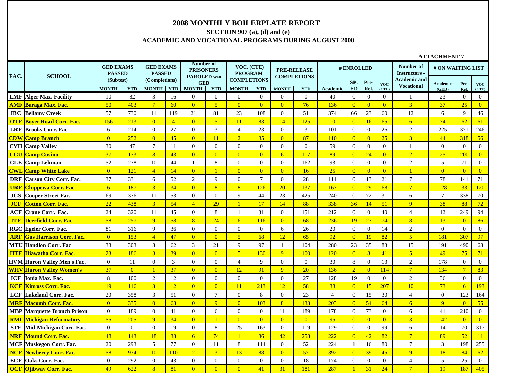### **2008 MONTHLY BOILERPLATE REPORT**

# **SECTION 907 (a), (d) and (e) ACADEMIC AND VOCATIONAL PROGRAMS DURING AUGUST 2008**

|            |                                    | <b>GED EXAMS</b><br><b>PASSED</b> |                | <b>GED EXAMS</b><br><b>PASSED</b> |                | Number of<br><b>PRISONERS</b> |                  | VOC. (CTE)<br><b>PROGRAM</b> |                |                | <b>PRE-RELEASE</b> |                 | # ENROLLED     |                |                     | Number of<br><b>Instructors</b> | # ON WAITING LIST |                 |                     |
|------------|------------------------------------|-----------------------------------|----------------|-----------------------------------|----------------|-------------------------------|------------------|------------------------------|----------------|----------------|--------------------|-----------------|----------------|----------------|---------------------|---------------------------------|-------------------|-----------------|---------------------|
| FAC.       | <b>SCHOOL</b>                      | (Subtest)                         |                | (Completions)                     |                | PAROLED w/o<br><b>GED</b>     |                  | <b>COMPLETIONS</b>           |                |                | <b>COMPLETIONS</b> |                 | SP.            | Pre-           |                     | Academic and                    | <b>Academic</b>   | Pre-            |                     |
|            |                                    | <b>MONTH</b>                      | <b>YTD</b>     | <b>MONTH YTD</b>                  |                | <b>MONTH</b>                  | <b>YTD</b>       | <b>MONTH</b>                 | <b>YTD</b>     | <b>MONTH</b>   | <b>YTD</b>         | <b>Academic</b> | <b>ED</b>      | Rel.           | <b>VOC</b><br>(CTE) | <b>Vocational</b>               | (GED)             | Rel.            | <b>VOC</b><br>(CTE) |
|            | <b>LMF</b> Alger Max. Facility     | 10                                | 82             | 3                                 | 16             | $\overline{0}$                | $\boldsymbol{0}$ | $\overline{0}$               | $\overline{0}$ | $\Omega$       | $\overline{0}$     | 40              | $\overline{0}$ | $\overline{0}$ | $\Omega$            |                                 | 23                | $\Omega$        | $\overline{0}$      |
|            | <b>AMF Baraga Max. Fac.</b>        | 50                                | 403            | $7\overline{ }$                   | 60             | $\overline{0}$                | $\overline{5}$   | $\overline{0}$               | $\overline{0}$ | $\overline{0}$ | 76                 | 136             | $\overline{0}$ | $\overline{0}$ | $\overline{0}$      | $\overline{3}$                  | 37                | 25              | $\overline{0}$      |
|            | <b>IBC</b> Bellamy Creek           | 57                                | 730            | 11                                | 119            | 21                            | 81               | 23                           | 108            | $\overline{0}$ | 51                 | 374             | 66             | 23             | 60                  | 12                              | 6                 | 9               | 46                  |
|            | <b>OTF Bover Road Corr. Fac.</b>   | 156                               | 213            | $\overline{0}$                    | $\overline{4}$ | $\overline{0}$                | $\overline{5}$   | 11                           | 83             | 14             | 125                | 10              | $\overline{0}$ | 16             | 65                  | 6 <sup>1</sup>                  | 74                | 62              | 61                  |
|            | <b>LRF Brooks Corr. Fac.</b>       | 6                                 | 214            | $\overline{0}$                    | 27             | $\mathbf{0}$                  | 3                | $\overline{4}$               | 23             | $\overline{0}$ | 3                  | 101             | $\mathbf{0}$   | $\overline{0}$ | 26                  | $\overline{2}$                  | 225               | 371             | 246                 |
|            | <b>CDW</b> Camp Branch             | $\overline{0}$                    | 252            | $\overline{0}$                    | 45             | $\overline{0}$                | 11               | $\overline{2}$               | 35             | $\overline{0}$ | 87                 | <b>110</b>      | $\overline{0}$ | $\overline{0}$ | 25                  | 3 <sup>1</sup>                  | 44                | 318             | 56                  |
|            | <b>CVH</b> Camp Valley             | 30                                | 47             | $\overline{7}$                    | 11             | $\mathbf{0}$                  | $\mathbf{0}$     | $\overline{0}$               | $\overline{0}$ | $\Omega$       | $\overline{0}$     | 59              | $\overline{0}$ | $\overline{0}$ | $\Omega$            |                                 | $\overline{0}$    | $\Omega$        | $\boldsymbol{0}$    |
|            | <b>CCU Camp Cusino</b>             | 37                                | 173            | $\overline{8}$                    | 43             | $\overline{0}$                | $\overline{0}$   | $\overline{0}$               | $\overline{0}$ | 6              | 117                | 89              | $\overline{0}$ | 24             | $\overline{0}$      | $\overline{2}$                  | 25                | 200             | $\overline{0}$      |
|            | <b>CLE</b> Camp Lehman             | 52                                | 278            | 10                                | 44             | $\mathbf{1}$                  | 8                | $\overline{0}$               | $\overline{0}$ | $\overline{0}$ | 162                | 93              | $\mathbf{0}$   | $\overline{0}$ | $\theta$            | $\overline{2}$                  | 5                 | 71              | $\overline{0}$      |
|            | <b>CWL Camp White Lake</b>         | $\overline{0}$                    | 121            | $\overline{4}$                    | 14             | $\overline{0}$                | $\overline{1}$   | $\overline{0}$               | $\overline{0}$ | $\overline{0}$ | 16                 | 25              | $\overline{0}$ | $\overline{0}$ | $\overline{0}$      |                                 | $\overline{0}$    | $\overline{0}$  | $\boxed{0}$         |
| <b>DRF</b> | Carson City Corr. Fac.             | 37                                | 331            | 6                                 | 52             | $\mathbf{2}$                  | 9                | $\boldsymbol{0}$             | $\tau$         | $\overline{0}$ | 28                 | 111             | $\mathbf{0}$   | 13             | 21                  | $\tau$                          | 78                | 141             | 71                  |
| <b>URF</b> | <b>Chippewa Corr. Fac.</b>         | 6                                 | 187            | $\overline{3}$                    | 34             | $\overline{0}$                | $\overline{8}$   | 8 <sup>°</sup>               | 126            | 20             | 137                | 167             | $\overline{0}$ | 29             | 68                  | $\overline{7}$                  | 128               | 33              | 120                 |
| JCS        | <b>Cooper Street Fac.</b>          | 69                                | 376            | 11                                | 53             | $\mathbf{0}$                  | $\mathbf{0}$     | 9                            | 44             | 23             | 425                | 240             | $\mathbf{0}$   | 72             | 31                  | 6                               | $\tau$            | 338             | 70                  |
| <b>JCF</b> | <b>Cotton Corr. Fac.</b>           | 22                                | 438            | $\overline{3}$                    | 54             | $\overline{4}$                | 29               | $\mathbf{1}$                 | 17             | 14             | 88                 | 338             | 36             | 14             | 51                  | $\overline{q}$                  | 38                | 88              | 72                  |
| ACF        | Crane Corr. Fac.                   | 24                                | 320            | 11                                | 45             | $\Omega$                      | 8                | $\mathbf{1}$                 | 31             | $\theta$       | 151                | 212             | $\overline{0}$ | $\theta$       | 40                  | $\overline{4}$                  | 12                | 249             | 94                  |
| <b>ITF</b> | Deerfield Corr. Fac.               | 58                                | 257            | $\overline{9}$                    | 58             | 8                             | 24               | 6                            | 116            | $\overline{0}$ | 68                 | 236             | 19             | 27             | 74                  | 8 <sup>1</sup>                  | 13                | $\overline{0}$  | 86                  |
|            | <b>RGC Egeler Corr. Fac.</b>       | 81                                | 316            | 9                                 | 36             | $\Omega$                      | $\mathbf{0}$     | $\overline{0}$               | $\theta$       | 6              | 26                 | 20              | $\overline{0}$ | $\theta$       | 14                  | 2                               | $\overline{0}$    | $\theta$        | $\overline{0}$      |
| <b>ARF</b> | <b>Gus Harrison Corr. Fac.</b>     | $\overline{0}$                    | 153            | $\overline{4}$                    | 47             | $\overline{0}$                | $\overline{0}$   | 5 <sup>5</sup>               | 68             | 12             | 65                 | 92              | $\Omega$       | 19             | 82                  | $\sqrt{5}$                      | 181               | 307             | 97                  |
|            | <b>MTU Handlon Corr. Fac</b>       | 38                                | 303            | 8                                 | 62             | 3                             | 21               | 9                            | 97             |                | 104                | 280             | 23             | 35             | 83                  | 15                              | 191               | 490             | 68                  |
| <b>HTF</b> | <b>Hiawatha Corr. Fac.</b>         | 23                                | 186            | $\overline{3}$                    | 39             | $\overline{0}$                | $\overline{0}$   | 5 <sup>5</sup>               | 130            | $\overline{9}$ | 100                | 120             | $\overline{0}$ | 8 <sup>°</sup> | 41                  | 5 <sup>5</sup>                  | 49                | 75              | 71                  |
|            | <b>HVM</b> Huron Valley Men's Fac. | $\overline{0}$                    | 11             | $\boldsymbol{0}$                  | $\mathfrak{Z}$ | $\mathbf{0}$                  | $\overline{0}$   | $\overline{4}$               | 9              | $\mathbf{0}$   | $\mathbf{0}$       | 30              | $\,8\,$        | $\overline{0}$ | 13                  | $\overline{2}$                  | 178               | $\Omega$        | $\overline{0}$      |
|            | <b>WHV Huron Valley Women's</b>    | 37                                | $\overline{0}$ | $\overline{1}$                    | 37             | $\overline{0}$                | $\overline{0}$   | 12 <sup>2</sup>              | 91             | 9              | 20                 | 136             | $\overline{2}$ | $\overline{0}$ | 114                 | $\overline{7}$                  | 134               | $7\phantom{.0}$ | 83                  |
| ICF        | Ionia Max. Fac.                    | 8                                 | 100            | $\sqrt{2}$                        | 12             | $\Omega$                      | $\boldsymbol{0}$ | $\Omega$                     | $\theta$       | $\Omega$       | 27                 | 128             | 19             | $\mathbf{0}$   | $\Omega$            | $\overline{2}$                  | 36                | $\theta$        | $\overline{0}$      |
| <b>KCF</b> | Kinross Corr. Fac.                 | 19                                | 116            | $\overline{3}$                    | 12             | $\overline{0}$                | $\overline{0}$   | 11                           | 213            | 12             | 58                 | 38              | $\overline{0}$ | 15             | 207                 | 10                              | 73                | 6               | 193                 |
| <b>LCF</b> | <b>Lakeland Corr. Fac.</b>         | 20                                | 358            | 3                                 | 51             | $\Omega$                      | $\overline{7}$   | $\overline{0}$               | 8              | $\overline{0}$ | 23                 | $\overline{4}$  | $\overline{0}$ | 15             | 30                  | $\overline{4}$                  | $\overline{0}$    | 123             | 164                 |
| <b>MRF</b> | <b>Macomb Corr. Fac.</b>           | $\overline{0}$                    | 335            | $\overline{0}$                    | 68             | $\overline{0}$                | 9                | $\overline{0}$               | 103            | 8              | 133                | 203             | $\overline{0}$ | 54             | 64                  | 6                               | 9                 | $\overline{0}$  | 55                  |
| <b>MBP</b> | <b>Marquette Branch Prison</b>     | $\overline{0}$                    | 189            | $\overline{0}$                    | 41             | $\overline{0}$                | 6                | $\overline{0}$               | $\theta$       | 11             | 189                | 178             | $\mathbf{0}$   | 73             | $\Omega$            | 6                               | 41                | 210             | $\overline{0}$      |
| <b>RMI</b> | <mark>Michigan Reformatory</mark>  | 55                                | 205            | $\overline{9}$                    | 34             | $\overline{0}$                |                  | $\overline{0}$               | $\overline{0}$ | $\overline{0}$ | $\overline{0}$     | 95              | $\overline{0}$ | $\overline{0}$ | $\overline{0}$      | $\overline{3}$                  | 142               | $\overline{0}$  | $\overline{0}$      |
| <b>STF</b> | Mid-Michigan Corr. Fac.            | $\overline{0}$                    | $\overline{0}$ | $\overline{0}$                    | 19             | $\mathbf{0}$                  | $\,8\,$          | 25                           | 163            | $\overline{0}$ | 119                | 129             | $\overline{0}$ | $\overline{0}$ | 99                  | 6                               | 14                | 70              | 317                 |
| <b>NRF</b> | <b>Mound Corr. Fac.</b>            | 48                                | 143            | 18                                | 38             | 6                             | 74               | $\vert$ 1                    | 86             | 42             | 258                | 222             | $\overline{0}$ | 42             | 82                  | $\overline{7}$                  | 89                | 52              | 11                  |
| <b>MCF</b> | <b>Muskegon Corr. Fac.</b>         | 20                                | 293            | 5                                 | 77             | $\overline{0}$                | 11               | 8                            | 114            | $\overline{0}$ | 52                 | 224             | -1             | 16             | 80                  | $7\phantom{.0}$                 | 3                 | 198             | 255                 |
| <b>NCF</b> | <b>Newberry Corr. Fac.</b>         | 58                                | 934            | 10                                | 110            | $\overline{2}$                | $\overline{3}$   | 13                           | 88             | $\Omega$       | 57                 | 392             | $\overline{0}$ | 39             | 45                  | $\overline{Q}$                  | 18                | 84              | 62                  |
| ECF        | Oaks Corr. Fac.                    | $\overline{0}$                    | 292            | $\overline{0}$                    | 43             | $\overline{0}$                | $\mathbf{0}$     | $\overline{0}$               | $\overline{0}$ | $\overline{0}$ | 18                 | 174             | $\overline{0}$ | $\mathbf{0}$   | $\Omega$            | $\overline{4}$                  | 5                 | 25              | $\mathbf{0}$        |
|            | <b>OCF Oiibway Corr. Fac.</b>      | 49                                | 622            | 8                                 | 81             | $\Omega$                      | $\Omega$         | $\Omega$                     | 41             | 31             | 181                | 287             |                | 31             | 24                  | $7\phantom{.0}$                 | 19                | 187             | 405                 |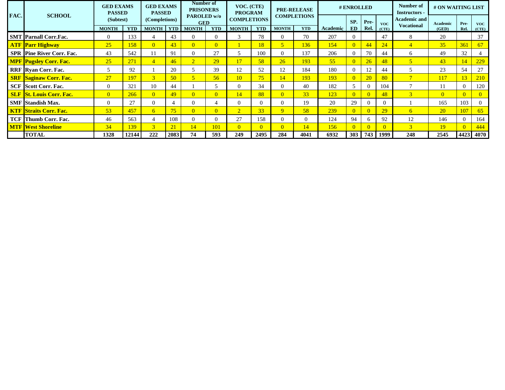|      |                                  | <b>GED EXAMS</b><br><b>PASSED</b> |            | <b>GED EXAMS</b><br><b>PASSED</b> |            | Number of<br><b>PRISONERS</b> |                | VOC. (CTE)<br><b>PROGRAM</b> |            |                | <b>PRE-RELEASE</b> |          | # ENROLLED |                |            | Number of<br><b>Instructors</b> -        | # ON WAITING LIST |      |            |
|------|----------------------------------|-----------------------------------|------------|-----------------------------------|------------|-------------------------------|----------------|------------------------------|------------|----------------|--------------------|----------|------------|----------------|------------|------------------------------------------|-------------------|------|------------|
| FAC. | <b>SCHOOL</b>                    | (Subtest)                         |            | (Completions)                     |            | PAROLED w/o<br><b>GED</b>     |                | <b>COMPLETIONS</b>           |            |                | <b>COMPLETIONS</b> |          | SP.        | Pre-           | <b>VOC</b> | <b>Academic and</b><br><b>Vocational</b> | Academic          | Pre- | <b>VOC</b> |
|      |                                  | <b>MONTH</b>                      | <b>YTD</b> | <b>MONTH</b>                      | <b>YTD</b> | <b>MONTH</b>                  | <b>YTD</b>     | <b>MONTH</b>                 | <b>YTD</b> | <b>MONTH</b>   | <b>YTD</b>         | Academic | ED         | Rel.           | (CTE)      |                                          | (GED)             | Rel. | (CTE)      |
|      | <b>SMT Parnall Corr.Fac.</b>     | $\Omega$                          | 133        |                                   | 43         |                               | $\Omega$       |                              | 78         | $\Omega$       | 70                 | 207      |            |                | 47         | 8                                        | 20                |      | 37         |
|      | <b>ATF Parr Highway</b>          | 25                                | 158        | $\overline{0}$                    | 43         | $\overline{0}$                | $\overline{0}$ |                              | 18         | $\overline{5}$ | 136                | 154      |            | 44             | 24         | 4                                        | 35                | 361  | 67         |
|      | <b>SPR Pine River Corr. Fac.</b> | 43                                | 542        | 11                                | 91         |                               | 27             | 5                            | 100        | $\Omega$       | 137                | 206      |            | 70             | 44         | 6                                        | 49                | 32   |            |
|      | <b>MPF</b> Pugsley Corr. Fac.    | 25                                | 271        | $\overline{4}$                    | 46         | $\overline{2}$                | 29             | 17                           | 58         | 26             | 193                | 55       |            | 26             | 48         |                                          | 43                |      | 229        |
|      | <b>RRF</b> Ryan Corr. Fac.       | 5                                 | 92         |                                   | 20         |                               | 39             | 12                           | 52         | 12             | 184                | 180      |            | 12             | 44         |                                          | 23                | 54   | 27         |
|      | <b>SRF Saginaw Corr. Fac.</b>    | 27                                | 197        | $\overline{3}$                    | 50         |                               | 56             | 10                           | 75         | 14             | 193                | 193      |            | <b>20</b>      | 80         | $\overline{7}$                           | <b>117</b>        | 13   | <b>210</b> |
|      | <b>SCF</b> Scott Corr. Fac.      | $\Omega$                          | 321        | 10                                | 44         |                               |                | 0                            | 34         | $\Omega$       | 40                 | 182      |            | $\Omega$       | 104        | $\overline{ }$                           | 11                |      | 120        |
|      | <b>SLF St. Louis Corr. Fac.</b>  | $\Omega$                          | 266        | $\overline{0}$                    | 49         | $\overline{0}$                | $\overline{0}$ | 14 <sup>°</sup>              | 88         | $\Omega$       | 33                 | 123      |            | $\overline{0}$ | 48         | 3                                        | $\overline{0}$    |      |            |
|      | <b>SMF</b> Standish Max.         | $\Omega$                          | 27         | $\theta$                          |            |                               |                | 0                            |            | $\Omega$       | 19                 | 20       | 29         | $\Omega$       |            |                                          | 165               | 103  |            |
|      | <b>KTF Straits Corr. Fac.</b>    | 53                                | 457        | 6                                 | 75         | $\overline{0}$                | $\overline{0}$ | $\overline{2}$               | 33         | $\overline{Q}$ | 58                 | 239      |            | $\overline{0}$ | 29         | 6                                        | <b>20</b>         | 107  | 65         |
|      | <b>TCF</b> Thumb Corr. Fac.      | 46                                | 563        | $\overline{4}$                    | 108        |                               | $\mathbf{0}$   | 27                           | 158        | $\Omega$       | $\mathbf{0}$       | 124      | 94         | 6              | 92         | 12                                       | 146               |      | 164        |
|      | <b>MTF West Shoreline</b>        | 34                                | 139        | $\overline{3}$                    | 21         | $\overline{4}$                | 101            | $\overline{0}$               | $\Omega$   | $\overline{0}$ | 14                 | 156      |            | $\Omega$       |            | 3                                        | 19                |      | 444        |
|      | <b>TOTAL</b>                     | 1328                              | 12144      | 222                               | 2083       | 74                            | 593            | 249                          | 2495       | 284            | 4041               | 6932     | 303        | 743            | 1999       | 248                                      | 2545              | 4423 | 4070       |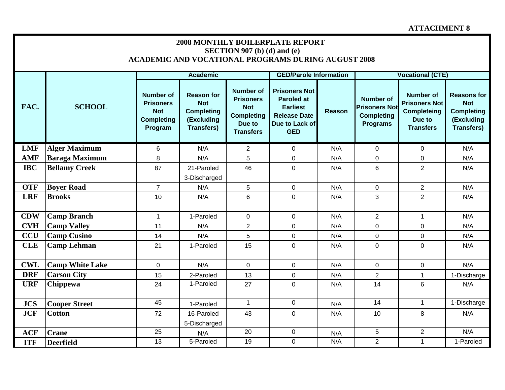|            |                        |                                                                                    |                                                                                         | SECTION 907 (b) (d) and (e)                                                                           | <b>2008 MONTHLY BOILERPLATE REPORT</b><br><b>ACADEMIC AND VOCATIONAL PROGRAMS DURING AUGUST 2008</b>                |        |                                                                                  |                                                                                              |                                                                                          |
|------------|------------------------|------------------------------------------------------------------------------------|-----------------------------------------------------------------------------------------|-------------------------------------------------------------------------------------------------------|---------------------------------------------------------------------------------------------------------------------|--------|----------------------------------------------------------------------------------|----------------------------------------------------------------------------------------------|------------------------------------------------------------------------------------------|
|            |                        |                                                                                    | <b>Academic</b>                                                                         |                                                                                                       | <b>GED/Parole Information</b>                                                                                       |        |                                                                                  | <b>Vocational (CTE)</b>                                                                      |                                                                                          |
| FAC.       | <b>SCHOOL</b>          | <b>Number of</b><br><b>Prisoners</b><br><b>Not</b><br><b>Completing</b><br>Program | <b>Reason for</b><br><b>Not</b><br><b>Completing</b><br>(Excluding<br><b>Transfers)</b> | <b>Number of</b><br><b>Prisoners</b><br><b>Not</b><br><b>Completing</b><br>Due to<br><b>Transfers</b> | <b>Prisoners Not</b><br><b>Paroled at</b><br><b>Earliest</b><br><b>Release Date</b><br>Due to Lack of<br><b>GED</b> | Reason | <b>Number of</b><br><b>Prisoners Not</b><br><b>Completing</b><br><b>Programs</b> | <b>Number of</b><br><b>Prisoners Not</b><br><b>Completeing</b><br>Due to<br><b>Transfers</b> | <b>Reasons for</b><br><b>Not</b><br><b>Completing</b><br>(Excluding<br><b>Transfers)</b> |
| <b>LMF</b> | <b>Alger Maximum</b>   | 6                                                                                  | N/A                                                                                     | $\overline{2}$                                                                                        | $\overline{0}$                                                                                                      | N/A    | $\overline{0}$                                                                   | $\mathbf 0$                                                                                  | N/A                                                                                      |
| <b>AMF</b> | <b>Baraga Maximum</b>  | $\,8\,$                                                                            | N/A                                                                                     | 5                                                                                                     | $\mathbf 0$                                                                                                         | N/A    | $\mathbf 0$                                                                      | 0                                                                                            | N/A                                                                                      |
| <b>IBC</b> | <b>Bellamy Creek</b>   | 87                                                                                 | 21-Paroled                                                                              | 46                                                                                                    | $\mathbf 0$                                                                                                         | N/A    | $6\phantom{1}$                                                                   | $\overline{2}$                                                                               | N/A                                                                                      |
|            |                        |                                                                                    | 3-Discharged                                                                            |                                                                                                       |                                                                                                                     |        |                                                                                  |                                                                                              |                                                                                          |
| <b>OTF</b> | <b>Boyer Road</b>      | $\overline{7}$                                                                     | N/A                                                                                     | 5                                                                                                     | $\mathbf 0$                                                                                                         | N/A    | $\mathbf 0$                                                                      | $\overline{2}$                                                                               | N/A                                                                                      |
| <b>LRF</b> | <b>Brooks</b>          | 10                                                                                 | N/A                                                                                     | $6\phantom{1}$                                                                                        | $\overline{0}$                                                                                                      | N/A    | 3                                                                                | $\overline{2}$                                                                               | N/A                                                                                      |
| <b>CDW</b> | <b>Camp Branch</b>     | $\mathbf 1$                                                                        | 1-Paroled                                                                               | $\mathbf 0$                                                                                           | $\overline{0}$                                                                                                      | N/A    | $\overline{2}$                                                                   | $\mathbf 1$                                                                                  | N/A                                                                                      |
| <b>CVH</b> | <b>Camp Valley</b>     | 11                                                                                 | N/A                                                                                     | $\overline{2}$                                                                                        | 0                                                                                                                   | N/A    | $\mathbf 0$                                                                      | 0                                                                                            | N/A                                                                                      |
| <b>CCU</b> | <b>Camp Cusino</b>     | 14                                                                                 | N/A                                                                                     | 5                                                                                                     | $\mathbf 0$                                                                                                         | N/A    | $\mathbf 0$                                                                      | $\mathbf 0$                                                                                  | N/A                                                                                      |
| <b>CLE</b> | <b>Camp Lehman</b>     | 21                                                                                 | 1-Paroled                                                                               | 15                                                                                                    | $\overline{0}$                                                                                                      | N/A    | $\mathbf 0$                                                                      | 0                                                                                            | N/A                                                                                      |
| <b>CWL</b> | <b>Camp White Lake</b> | $\mathbf 0$                                                                        | N/A                                                                                     | $\mathbf 0$                                                                                           | $\mathbf 0$                                                                                                         | N/A    | $\mathbf 0$                                                                      | $\mathbf 0$                                                                                  | N/A                                                                                      |
| <b>DRF</b> | <b>Carson City</b>     | 15                                                                                 | 2-Paroled                                                                               | 13                                                                                                    | $\mathbf 0$                                                                                                         | N/A    | $\overline{2}$                                                                   | $\mathbf{1}$                                                                                 | 1-Discharge                                                                              |
| <b>URF</b> | Chippewa               | 24                                                                                 | 1-Paroled                                                                               | 27                                                                                                    | $\mathbf 0$                                                                                                         | N/A    | 14                                                                               | 6                                                                                            | N/A                                                                                      |
| <b>JCS</b> | <b>Cooper Street</b>   | 45                                                                                 | 1-Paroled                                                                               | $\mathbf{1}$                                                                                          | $\mathbf 0$                                                                                                         | N/A    | 14                                                                               | $\mathbf{1}$                                                                                 | 1-Discharge                                                                              |
| <b>JCF</b> | <b>Cotton</b>          | 72                                                                                 | 16-Paroled                                                                              | 43                                                                                                    | $\overline{0}$                                                                                                      | N/A    | 10                                                                               | 8                                                                                            | N/A                                                                                      |
|            |                        |                                                                                    | 5-Discharged                                                                            |                                                                                                       |                                                                                                                     |        |                                                                                  |                                                                                              |                                                                                          |
| <b>ACF</b> | <b>Crane</b>           | 25                                                                                 | N/A                                                                                     | $\overline{20}$                                                                                       | $\mathbf 0$                                                                                                         | N/A    | $\overline{5}$                                                                   | $\overline{2}$                                                                               | N/A                                                                                      |
| <b>ITF</b> | <b>Deerfield</b>       | 13                                                                                 | 5-Paroled                                                                               | 19                                                                                                    | $\mathbf 0$                                                                                                         | N/A    | $\overline{2}$                                                                   | $\mathbf 1$                                                                                  | 1-Paroled                                                                                |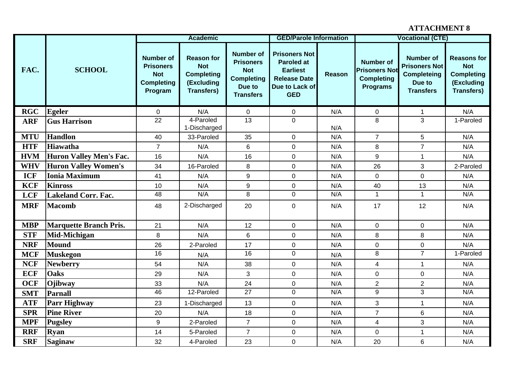|            |                               |                                                                                    | <b>Academic</b>                                                                         |                                                                                                       | <b>GED/Parole Information</b>                                                                                       |        |                                                                           | <b>Vocational (CTE)</b>                                                                      |                                                                                          |
|------------|-------------------------------|------------------------------------------------------------------------------------|-----------------------------------------------------------------------------------------|-------------------------------------------------------------------------------------------------------|---------------------------------------------------------------------------------------------------------------------|--------|---------------------------------------------------------------------------|----------------------------------------------------------------------------------------------|------------------------------------------------------------------------------------------|
| FAC.       | <b>SCHOOL</b>                 | <b>Number of</b><br><b>Prisoners</b><br><b>Not</b><br><b>Completing</b><br>Program | <b>Reason for</b><br><b>Not</b><br><b>Completing</b><br>(Excluding<br><b>Transfers)</b> | <b>Number of</b><br><b>Prisoners</b><br><b>Not</b><br><b>Completing</b><br>Due to<br><b>Transfers</b> | <b>Prisoners Not</b><br><b>Paroled at</b><br><b>Earliest</b><br><b>Release Date</b><br>Due to Lack of<br><b>GED</b> | Reason | Number of<br><b>Prisoners Not</b><br><b>Completing</b><br><b>Programs</b> | <b>Number of</b><br><b>Prisoners Not</b><br><b>Completeing</b><br>Due to<br><b>Transfers</b> | <b>Reasons for</b><br><b>Not</b><br><b>Completing</b><br>(Excluding<br><b>Transfers)</b> |
| <b>RGC</b> | <b>Egeler</b>                 | $\mathbf 0$                                                                        | N/A                                                                                     | $\mathbf 0$                                                                                           | $\mathbf 0$                                                                                                         | N/A    | $\mathbf 0$                                                               | $\mathbf 1$                                                                                  | N/A                                                                                      |
| <b>ARF</b> | <b>Gus Harrison</b>           | $\overline{22}$                                                                    | 4-Paroled<br>1-Discharged                                                               | $\overline{13}$                                                                                       | 0                                                                                                                   | N/A    | 8                                                                         | 3                                                                                            | 1-Paroled                                                                                |
| <b>MTU</b> | <b>Handlon</b>                | 40                                                                                 | 33-Paroled                                                                              | 35                                                                                                    | $\mathbf 0$                                                                                                         | N/A    | $\overline{7}$                                                            | 5                                                                                            | N/A                                                                                      |
| <b>HTF</b> | <b>Hiawatha</b>               | $\overline{7}$                                                                     | N/A                                                                                     | 6                                                                                                     | 0                                                                                                                   | N/A    | 8                                                                         | $\overline{7}$                                                                               | N/A                                                                                      |
| <b>HVM</b> | Huron Valley Men's Fac.       | 16                                                                                 | N/A                                                                                     | 16                                                                                                    | $\mathbf 0$                                                                                                         | N/A    | 9                                                                         | $\mathbf{1}$                                                                                 | N/A                                                                                      |
| <b>WHV</b> | <b>Huron Valley Women's</b>   | 34                                                                                 | 16-Paroled                                                                              | 8                                                                                                     | 0                                                                                                                   | N/A    | 26                                                                        | 3                                                                                            | 2-Paroled                                                                                |
| <b>ICF</b> | <b>Ionia Maximum</b>          | 41                                                                                 | N/A                                                                                     | 9                                                                                                     | $\mathbf 0$                                                                                                         | N/A    | $\mathbf 0$                                                               | 0                                                                                            | N/A                                                                                      |
| <b>KCF</b> | <b>Kinross</b>                | 10                                                                                 | N/A                                                                                     | 9                                                                                                     | 0                                                                                                                   | N/A    | 40                                                                        | 13                                                                                           | N/A                                                                                      |
| <b>LCF</b> | <b>Lakeland Corr. Fac.</b>    | $\overline{48}$                                                                    | N/A                                                                                     | 8                                                                                                     | $\mathbf 0$                                                                                                         | N/A    | $\mathbf{1}$                                                              | $\mathbf{1}$                                                                                 | N/A                                                                                      |
| <b>MRF</b> | <b>Macomb</b>                 | 48                                                                                 | 2-Discharged                                                                            | 20                                                                                                    | $\mathbf 0$                                                                                                         | N/A    | 17                                                                        | 12                                                                                           | N/A                                                                                      |
| <b>MBP</b> | <b>Marquette Branch Pris.</b> | 21                                                                                 | N/A                                                                                     | 12                                                                                                    | $\mathbf 0$                                                                                                         | N/A    | $\mathbf 0$                                                               | 0                                                                                            | N/A                                                                                      |
| <b>STF</b> | Mid-Michigan                  | 8                                                                                  | N/A                                                                                     | $\,6$                                                                                                 | $\pmb{0}$                                                                                                           | N/A    | 8                                                                         | 8                                                                                            | N/A                                                                                      |
| <b>NRF</b> | Mound                         | 26                                                                                 | 2-Paroled                                                                               | 17                                                                                                    | $\mathbf 0$                                                                                                         | N/A    | $\mathbf 0$                                                               | 0                                                                                            | N/A                                                                                      |
| <b>MCF</b> | <b>Muskegon</b>               | $\overline{16}$                                                                    | N/A                                                                                     | 16                                                                                                    | 0                                                                                                                   | N/A    | $\overline{8}$                                                            | $\overline{7}$                                                                               | 1-Paroled                                                                                |
| <b>NCF</b> | <b>Newberry</b>               | 54                                                                                 | N/A                                                                                     | 38                                                                                                    | $\mathbf 0$                                                                                                         | N/A    | 4                                                                         | $\mathbf{1}$                                                                                 | N/A                                                                                      |
| <b>ECF</b> | <b>Oaks</b>                   | 29                                                                                 | N/A                                                                                     | 3                                                                                                     | $\mathbf 0$                                                                                                         | N/A    | $\mathbf 0$                                                               | 0                                                                                            | N/A                                                                                      |
| <b>OCF</b> | Ojibway                       | 33                                                                                 | N/A                                                                                     | 24                                                                                                    | 0                                                                                                                   | N/A    | $\overline{2}$                                                            | $\overline{2}$                                                                               | N/A                                                                                      |
| <b>SMT</b> | <b>Parnall</b>                | 46                                                                                 | 12-Paroled                                                                              | $\overline{27}$                                                                                       | 0                                                                                                                   | N/A    | 9                                                                         | 3                                                                                            | N/A                                                                                      |
| <b>ATF</b> | <b>Parr Highway</b>           | 23                                                                                 | 1-Discharged                                                                            | 13                                                                                                    | $\mathbf 0$                                                                                                         | N/A    | 3                                                                         | 1                                                                                            | N/A                                                                                      |
| <b>SPR</b> | <b>Pine River</b>             | 20                                                                                 | N/A                                                                                     | 18                                                                                                    | $\mathbf 0$                                                                                                         | N/A    | $\overline{7}$                                                            | 6                                                                                            | N/A                                                                                      |
| <b>MPF</b> | <b>Pugsley</b>                | 9                                                                                  | 2-Paroled                                                                               | $\overline{7}$                                                                                        | 0                                                                                                                   | N/A    | 4                                                                         | 3                                                                                            | N/A                                                                                      |
| <b>RRF</b> | <b>Ryan</b>                   | 14                                                                                 | 5-Paroled                                                                               | $\overline{7}$                                                                                        | 0                                                                                                                   | N/A    | $\mathbf 0$                                                               | $\mathbf 1$                                                                                  | N/A                                                                                      |
| <b>SRF</b> | <b>Saginaw</b>                | 32                                                                                 | 4-Paroled                                                                               | 23                                                                                                    | 0                                                                                                                   | N/A    | 20                                                                        | 6                                                                                            | N/A                                                                                      |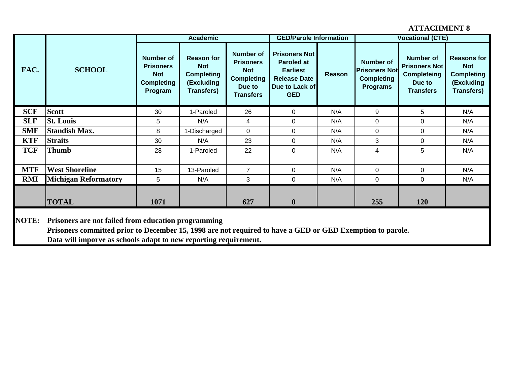|              |                                                                                                                                                                                                                                      |                                                                                    | <b>Academic</b>                                                                         |                                                                                                       | <b>GED/Parole Information</b>                                                                                       |        |                                                                                  | <b>Vocational (CTE)</b>                                                                      |                                                                                          |
|--------------|--------------------------------------------------------------------------------------------------------------------------------------------------------------------------------------------------------------------------------------|------------------------------------------------------------------------------------|-----------------------------------------------------------------------------------------|-------------------------------------------------------------------------------------------------------|---------------------------------------------------------------------------------------------------------------------|--------|----------------------------------------------------------------------------------|----------------------------------------------------------------------------------------------|------------------------------------------------------------------------------------------|
| FAC.         | <b>SCHOOL</b>                                                                                                                                                                                                                        | <b>Number of</b><br><b>Prisoners</b><br><b>Not</b><br><b>Completing</b><br>Program | <b>Reason for</b><br><b>Not</b><br><b>Completing</b><br>(Excluding<br><b>Transfers)</b> | <b>Number of</b><br><b>Prisoners</b><br><b>Not</b><br><b>Completing</b><br>Due to<br><b>Transfers</b> | <b>Prisoners Not</b><br><b>Paroled at</b><br><b>Earliest</b><br><b>Release Date</b><br>Due to Lack of<br><b>GED</b> | Reason | <b>Number of</b><br><b>Prisoners Not</b><br><b>Completing</b><br><b>Programs</b> | <b>Number of</b><br><b>Prisoners Not</b><br><b>Completeing</b><br>Due to<br><b>Transfers</b> | <b>Reasons for</b><br><b>Not</b><br><b>Completing</b><br>(Excluding<br><b>Transfers)</b> |
| <b>SCF</b>   | <b>Scott</b>                                                                                                                                                                                                                         | 30                                                                                 | 1-Paroled                                                                               | 26                                                                                                    | 0                                                                                                                   | N/A    | 9                                                                                | 5                                                                                            | N/A                                                                                      |
| <b>SLF</b>   | <b>St. Louis</b>                                                                                                                                                                                                                     | 5                                                                                  | N/A                                                                                     | 4                                                                                                     | $\Omega$                                                                                                            | N/A    | 0                                                                                | 0                                                                                            | N/A                                                                                      |
| <b>SMF</b>   | <b>Standish Max.</b>                                                                                                                                                                                                                 | 8                                                                                  | 1-Discharged                                                                            | 0                                                                                                     | $\Omega$                                                                                                            | N/A    | $\Omega$                                                                         | 0                                                                                            | N/A                                                                                      |
| <b>KTF</b>   | <b>Straits</b>                                                                                                                                                                                                                       | 30                                                                                 | N/A                                                                                     | 23                                                                                                    | $\mathbf 0$                                                                                                         | N/A    | 3                                                                                | $\mathbf 0$                                                                                  | N/A                                                                                      |
| <b>TCF</b>   | <b>Thumb</b>                                                                                                                                                                                                                         | 28                                                                                 | 1-Paroled                                                                               | 22                                                                                                    | $\Omega$                                                                                                            | N/A    | 4                                                                                | 5                                                                                            | N/A                                                                                      |
| <b>MTF</b>   | <b>West Shoreline</b>                                                                                                                                                                                                                | 15                                                                                 | 13-Paroled                                                                              | $\overline{7}$                                                                                        | $\Omega$                                                                                                            | N/A    | $\Omega$                                                                         | 0                                                                                            | N/A                                                                                      |
| <b>RMI</b>   | <b>Michigan Reformatory</b>                                                                                                                                                                                                          | 5                                                                                  | N/A                                                                                     | 3                                                                                                     | $\Omega$                                                                                                            | N/A    | $\Omega$                                                                         | $\mathbf{0}$                                                                                 | N/A                                                                                      |
|              | <b>TOTAL</b>                                                                                                                                                                                                                         | 1071                                                                               |                                                                                         | 627                                                                                                   | $\mathbf{0}$                                                                                                        |        | 255                                                                              | 120                                                                                          |                                                                                          |
| <b>NOTE:</b> | Prisoners are not failed from education programming<br>Prisoners committed prior to December 15, 1998 are not required to have a GED or GED Exemption to parole.<br>Data will imporve as schools adapt to new reporting requirement. |                                                                                    |                                                                                         |                                                                                                       |                                                                                                                     |        |                                                                                  |                                                                                              |                                                                                          |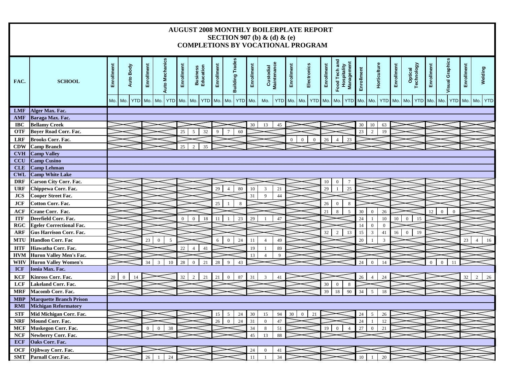# **AUGUST 2008 MONTHLY BOILERPLATE REPORT SECTION 907 (b) & (d) & (e) COMPLETIONS BY VOCATIONAL PROGRAM**

| FAC.       | <b>SCHOOL</b>                   | Enrollment | Auto Body          | Enrollment     | <b>Auto Mechanics</b> | Enrollment     | <b>Business</b><br>Education | Enrollment | <b>Building Trades</b> | Enrollment | Custodial<br>Maintenance |         | Enrollment | Electronics          | Enrollment | Food Tech and<br><b>Hospitality</b><br>Management | Enrollment | Horticulture                   | Enrollment | Optical<br>Technology  | Enrollment | <b>Visual Graphics</b>       | Enrollment  | Welding              |
|------------|---------------------------------|------------|--------------------|----------------|-----------------------|----------------|------------------------------|------------|------------------------|------------|--------------------------|---------|------------|----------------------|------------|---------------------------------------------------|------------|--------------------------------|------------|------------------------|------------|------------------------------|-------------|----------------------|
|            |                                 | Mo.        | YTD Mo. Mo.<br>Mo. |                | <b>YTD</b>            | Mo.            | Mo.<br><b>YTD</b>            |            | Mo. Mo.<br>YTD Mo.     |            | Mo.                      | YTD Mo. |            | Mo. YTD Mo.          |            | Mo.<br><b>YTD</b>                                 |            | Mo. Mo.                        | YTD Mo.    | Mo.                    | YTD Mo.    | Mo.                          | YTD Mo. Mo. | <b>YTD</b>           |
| <b>LMF</b> | Alger Max. Fac.                 |            |                    |                |                       |                |                              |            |                        |            |                          |         |            |                      |            |                                                   |            |                                |            |                        |            |                              |             |                      |
| <b>AMF</b> | Baraga Max. Fac.                |            |                    |                |                       |                |                              |            |                        |            |                          |         |            |                      |            |                                                   |            |                                |            |                        |            |                              |             |                      |
| <b>IBC</b> | <b>Bellamy Creek</b>            |            |                    |                |                       |                |                              |            |                        | 30         | 13                       | 45      |            |                      |            |                                                   | 30         | 10<br>63                       |            |                        |            |                              |             |                      |
| <b>OTF</b> | <b>Boyer Road Corr. Fac.</b>    |            |                    |                |                       | 25             | 5<br>32                      | 9          | 60<br>$\overline{7}$   |            |                          |         |            |                      |            |                                                   | 23         | $\overline{2}$<br>19           |            |                        |            |                              |             |                      |
| <b>LRF</b> | <b>Brooks Corr. Fac.</b>        |            |                    |                |                       |                |                              |            |                        |            |                          |         | $\theta$   | $\theta$<br>$\theta$ | 26         | 23<br>$\Delta$                                    |            |                                |            |                        |            |                              |             |                      |
| <b>CDW</b> | <b>Camp Branch</b>              |            |                    |                |                       | 25             | 35<br>$\mathcal{D}$          |            |                        |            |                          |         |            |                      |            |                                                   |            |                                |            |                        |            |                              |             |                      |
| <b>CVH</b> | <b>Camp Valley</b>              |            |                    |                |                       |                |                              |            |                        |            |                          |         |            |                      |            |                                                   |            |                                |            |                        |            |                              |             |                      |
| <b>CCU</b> | <b>Camp Cusino</b>              |            |                    |                |                       |                |                              |            |                        |            |                          |         |            |                      |            |                                                   |            |                                |            |                        |            |                              |             |                      |
| <b>CLE</b> | <b>Camp Lehman</b>              |            |                    |                |                       |                |                              |            |                        |            |                          |         |            |                      |            |                                                   |            |                                |            |                        |            |                              |             |                      |
| <b>CWL</b> | <b>Camp White Lake</b>          |            |                    |                |                       |                |                              |            |                        |            |                          |         |            |                      |            |                                                   |            |                                |            |                        |            |                              |             |                      |
| <b>DRF</b> | <b>Carson City Corr. Fac.</b>   |            |                    |                |                       |                |                              |            |                        |            |                          |         |            |                      | 10         | $\overline{7}$<br>$\overline{0}$                  |            |                                |            |                        |            |                              |             |                      |
| <b>URF</b> | Chippewa Corr. Fac.             |            |                    |                |                       |                |                              | 29         | 80<br>$\overline{4}$   | 10         | $\overline{3}$           | 21      |            |                      | 29         | $\overline{25}$                                   |            |                                |            |                        |            |                              |             |                      |
| <b>JCS</b> | Cooper Street Fac.              |            |                    |                |                       |                |                              |            |                        | 31         | 9                        | 44      |            |                      |            |                                                   |            |                                |            |                        |            |                              |             |                      |
| <b>JCF</b> | <b>Cotton Corr. Fac.</b>        |            |                    |                |                       |                |                              | 25         | 8                      |            |                          |         |            |                      | 26         | 8<br>$\mathbf{0}$                                 |            |                                |            |                        |            |                              |             |                      |
| <b>ACF</b> | Crane Corr. Fac.                |            |                    |                |                       |                |                              |            |                        |            |                          |         |            |                      | 21         | 5<br>8                                            | 30         | 26<br>$\overline{0}$           |            |                        | 12         | $\mathbf{0}$<br>$\mathbf{0}$ |             |                      |
| <b>ITF</b> | Deerfield Corr. Fac.            |            |                    |                |                       | $\overline{0}$ | $\Omega$<br>18               | 11         | 23                     | 29         |                          | 47      |            |                      |            |                                                   | 24         | 10                             | 10         | $\theta$<br>15         |            |                              |             |                      |
| <b>RGC</b> | <b>Egeler Correctional Fac.</b> |            |                    |                |                       |                |                              |            |                        |            |                          |         |            |                      |            |                                                   | 14         | $\overline{0}$<br>$\mathbf{0}$ |            |                        |            |                              |             |                      |
| ARF        | <b>Gus Harrison Corr. Fac.</b>  |            |                    |                |                       |                |                              |            |                        |            |                          |         |            |                      | 32         | 2<br>13                                           | 15         | $\overline{3}$<br>41           | 16         | 19<br>$\boldsymbol{0}$ |            |                              |             |                      |
| <b>MTU</b> | <b>Handlon Corr. Fac</b>        |            |                    | 23             | 5<br>$\mathbf{0}$     |                |                              | 6          | 24<br>$\mathbf{0}$     | 11         | $\overline{4}$           | 49      |            |                      |            |                                                   | 20         | 3                              |            |                        |            |                              | 23          | 16<br>$\overline{4}$ |
| <b>HTF</b> | Hiawatha Corr. Fac.             |            |                    |                |                       | 22             | $\overline{4}$<br>41         |            |                        | 19         | $\overline{1}$           | 89      |            |                      |            |                                                   |            |                                |            |                        |            |                              |             |                      |
| <b>HVM</b> | <b>Huron Valley Men's Fac.</b>  |            |                    |                |                       |                |                              |            |                        | 13         | $\overline{4}$           | 9       |            |                      |            |                                                   |            |                                |            |                        |            |                              |             |                      |
| WHV        | <b>Huron Valley Women's</b>     |            |                    | 34             | $\mathcal{R}$<br>10   | 28             | 21<br>$\theta$               | 28         | 43<br>$\mathbf Q$      |            |                          |         |            |                      |            |                                                   | 24         | 14<br>$\Omega$                 |            |                        |            | $\Omega$                     |             |                      |
| <b>ICF</b> | Ionia Max. Fac.                 |            |                    |                |                       |                |                              |            |                        |            |                          |         |            |                      |            |                                                   |            |                                |            |                        |            |                              |             |                      |
| <b>KCF</b> | Kinross Corr. Fac.              | 20         | $\Omega$           |                |                       | 32             | $\mathcal{D}$<br>21          | 21         | 87<br>$\Omega$         | 31         | 3                        | 41      |            |                      |            |                                                   | 26         | 24                             |            |                        |            |                              | 32          | 26<br>$\mathcal{D}$  |
| <b>LCF</b> | <b>Lakeland Corr. Fac.</b>      |            |                    |                |                       |                |                              |            |                        |            |                          |         |            |                      | 30         | $\mathbf{0}$<br>8                                 |            |                                |            |                        |            |                              |             |                      |
| <b>MRF</b> | <b>Macomb Corr. Fac.</b>        |            |                    |                |                       |                |                              |            |                        |            |                          |         |            |                      | 39         | 90<br>18                                          | 34         | 5<br>18                        |            |                        |            |                              |             |                      |
| <b>MBP</b> | <b>Marquette Branch Prison</b>  |            |                    |                |                       |                |                              |            |                        |            |                          |         |            |                      |            |                                                   |            |                                |            |                        |            |                              |             |                      |
| <b>RMI</b> | <b>Michigan Reformatory</b>     |            |                    |                |                       |                |                              |            |                        |            |                          |         |            |                      |            |                                                   |            |                                |            |                        |            |                              |             |                      |
| <b>STF</b> | Mid Michigan Corr. Fac.         |            |                    |                |                       |                |                              | 15         | .5<br>24               | 30         | 15                       | 94      | 30         | 21<br>$\overline{0}$ |            |                                                   | 24         | 26<br>$\sim$                   |            |                        |            |                              |             |                      |
| <b>NRF</b> | <b>Mound Corr. Fac.</b>         |            |                    |                |                       |                |                              | 26         | 24<br>$\theta$         | 31         | $\overline{0}$           | 47      |            |                      |            |                                                   | 24         | 12                             |            |                        |            |                              |             |                      |
| <b>MCF</b> | <b>Muskegon Corr. Fac.</b>      |            |                    | $\overline{0}$ | 38<br>$\theta$        |                |                              |            |                        | 34         | $\,8\,$                  | 51      |            |                      | 19         | $\theta$<br>$\boldsymbol{\varLambda}$             | 27         | 21<br>$\Omega$                 |            |                        |            |                              |             |                      |
| <b>NCF</b> | Newberry Corr. Fac.             |            |                    |                |                       |                |                              |            |                        | 45         | 13                       | 88      |            |                      |            |                                                   |            |                                |            |                        |            |                              |             |                      |
| <b>ECF</b> | Oaks Corr. Fac.                 |            |                    |                |                       |                |                              |            |                        |            |                          |         |            |                      |            |                                                   |            |                                |            |                        |            |                              |             |                      |
| <b>OCF</b> | Ojibway Corr. Fac.              |            |                    |                |                       |                |                              |            |                        | 24         | $\mathbf{0}$             | 41      |            |                      |            |                                                   |            |                                |            |                        |            |                              |             |                      |
| <b>SMT</b> | Parnall Corr.Fac.               |            |                    | 26             | 24                    |                |                              |            |                        | 11         |                          | 34      |            |                      |            |                                                   | 10         | 20                             |            |                        |            |                              |             |                      |